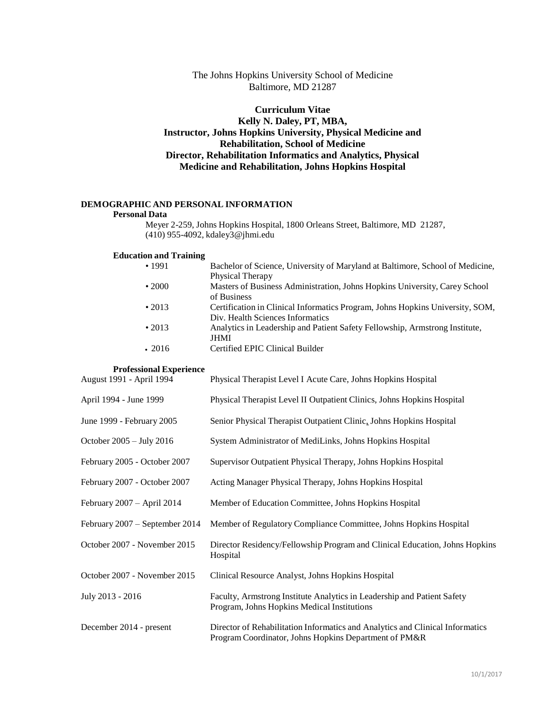# The Johns Hopkins University School of Medicine Baltimore, MD 21287

# **Curriculum Vitae Kelly N. Daley, PT, MBA, Instructor, Johns Hopkins University, Physical Medicine and Rehabilitation, School of Medicine Director, Rehabilitation Informatics and Analytics, Physical Medicine and Rehabilitation, Johns Hopkins Hospital**

## **DEMOGRAPHIC AND PERSONAL INFORMATION**

## **Personal Data**

Meyer 2-259, Johns Hopkins Hospital, 1800 Orleans Street, Baltimore, MD 21287, (410) 955-4092, [kdaley3@jhmi.edu](mailto:kdaley3@jhmi.edu)

#### **Education and Training**

| •1991        | Bachelor of Science, University of Maryland at Baltimore, School of Medicine, |
|--------------|-------------------------------------------------------------------------------|
|              | Physical Therapy                                                              |
| $\cdot$ 2000 | Masters of Business Administration, Johns Hopkins University, Carey School    |
|              | of Business                                                                   |
| $\cdot$ 2013 | Certification in Clinical Informatics Program, Johns Hopkins University, SOM, |
|              | Div. Health Sciences Informatics                                              |
| $\cdot$ 2013 | Analytics in Leadership and Patient Safety Fellowship, Armstrong Institute,   |
|              | <b>JHMI</b>                                                                   |
| $\cdot$ 2016 | Certified EPIC Clinical Builder                                               |
|              |                                                                               |

# **Professional Experience**

| August 1991 - April 1994       | Physical Therapist Level I Acute Care, Johns Hopkins Hospital                                                                          |  |  |
|--------------------------------|----------------------------------------------------------------------------------------------------------------------------------------|--|--|
| April 1994 - June 1999         | Physical Therapist Level II Outpatient Clinics, Johns Hopkins Hospital                                                                 |  |  |
| June 1999 - February 2005      | Senior Physical Therapist Outpatient Clinic, Johns Hopkins Hospital                                                                    |  |  |
| October 2005 - July 2016       | System Administrator of MediLinks, Johns Hopkins Hospital                                                                              |  |  |
| February 2005 - October 2007   | Supervisor Outpatient Physical Therapy, Johns Hopkins Hospital                                                                         |  |  |
| February 2007 - October 2007   | Acting Manager Physical Therapy, Johns Hopkins Hospital                                                                                |  |  |
| February 2007 - April 2014     | Member of Education Committee, Johns Hopkins Hospital                                                                                  |  |  |
| February 2007 - September 2014 | Member of Regulatory Compliance Committee, Johns Hopkins Hospital                                                                      |  |  |
| October 2007 - November 2015   | Director Residency/Fellowship Program and Clinical Education, Johns Hopkins<br>Hospital                                                |  |  |
| October 2007 - November 2015   | Clinical Resource Analyst, Johns Hopkins Hospital                                                                                      |  |  |
| July 2013 - 2016               | Faculty, Armstrong Institute Analytics in Leadership and Patient Safety<br>Program, Johns Hopkins Medical Institutions                 |  |  |
| December 2014 - present        | Director of Rehabilitation Informatics and Analytics and Clinical Informatics<br>Program Coordinator, Johns Hopkins Department of PM&R |  |  |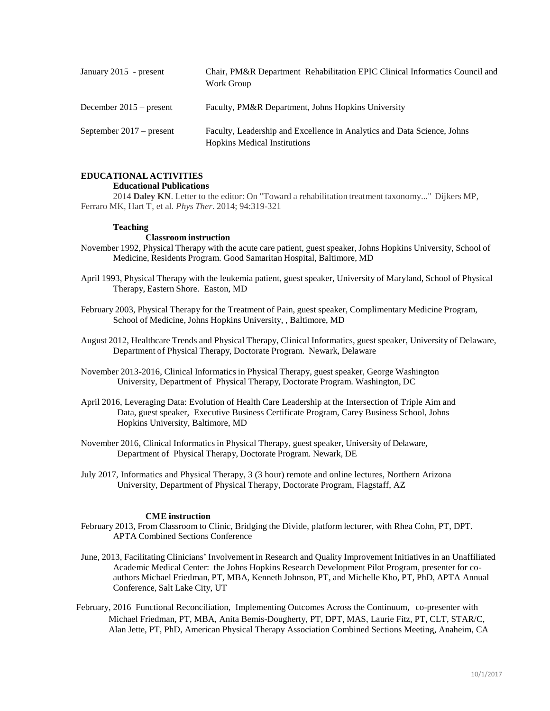| January 2015 - present   | Chair, PM&R Department Rehabilitation EPIC Clinical Informatics Council and<br>Work Group                      |
|--------------------------|----------------------------------------------------------------------------------------------------------------|
| December 2015 – present  | Faculty, PM&R Department, Johns Hopkins University                                                             |
| September 2017 – present | Faculty, Leadership and Excellence in Analytics and Data Science, Johns<br><b>Hopkins Medical Institutions</b> |

# **EDUCATIONAL ACTIVITIES**

#### **Educational Publications**

2014 **Daley KN**. Letter to the editor: On "Toward a rehabilitation treatment taxonomy..." Dijkers MP, Ferraro MK, Hart T, et al. *Phys Ther*. 2014; 94:319-321

#### **Teaching**

#### **Classroom instruction**

- November 1992, Physical Therapy with the acute care patient, guest speaker, Johns Hopkins University, School of Medicine, Residents Program. Good Samaritan Hospital, Baltimore, MD
- April 1993, Physical Therapy with the leukemia patient, guest speaker, University of Maryland, School of Physical Therapy, Eastern Shore. Easton, MD
- February 2003, Physical Therapy for the Treatment of Pain, guest speaker, Complimentary Medicine Program, School of Medicine, Johns Hopkins University, , Baltimore, MD
- August 2012, Healthcare Trends and Physical Therapy, Clinical Informatics, guest speaker, University of Delaware, Department of Physical Therapy, Doctorate Program. Newark, Delaware
- November 2013-2016, Clinical Informatics in Physical Therapy, guest speaker, George Washington University, Department of Physical Therapy, Doctorate Program. Washington, DC
- April 2016, Leveraging Data: Evolution of Health Care Leadership at the Intersection of Triple Aim and Data, guest speaker, Executive Business Certificate Program, Carey Business School, Johns Hopkins University, Baltimore, MD
- November 2016, Clinical Informatics in Physical Therapy, guest speaker, University of Delaware, Department of Physical Therapy, Doctorate Program. Newark, DE
- July 2017, Informatics and Physical Therapy, 3 (3 hour) remote and online lectures, Northern Arizona University, Department of Physical Therapy, Doctorate Program, Flagstaff, AZ

#### **CME instruction**

- February 2013, From Classroom to Clinic, Bridging the Divide, platform lecturer, with Rhea Cohn, PT, DPT. APTA Combined Sections Conference
- June, 2013, Facilitating Clinicians' Involvement in Research and Quality Improvement Initiatives in an Unaffiliated Academic Medical Center: the Johns Hopkins Research Development Pilot Program, presenter for coauthors Michael Friedman, PT, MBA, Kenneth Johnson, PT, and Michelle Kho, PT, PhD, APTA Annual Conference, Salt Lake City, UT
- February, 2016 Functional Reconciliation, Implementing Outcomes Across the Continuum, co-presenter with Michael Friedman, PT, MBA, Anita Bemis-Dougherty, PT, DPT, MAS, Laurie Fitz, PT, CLT, STAR/C, Alan Jette, PT, PhD, American Physical Therapy Association Combined Sections Meeting, Anaheim, CA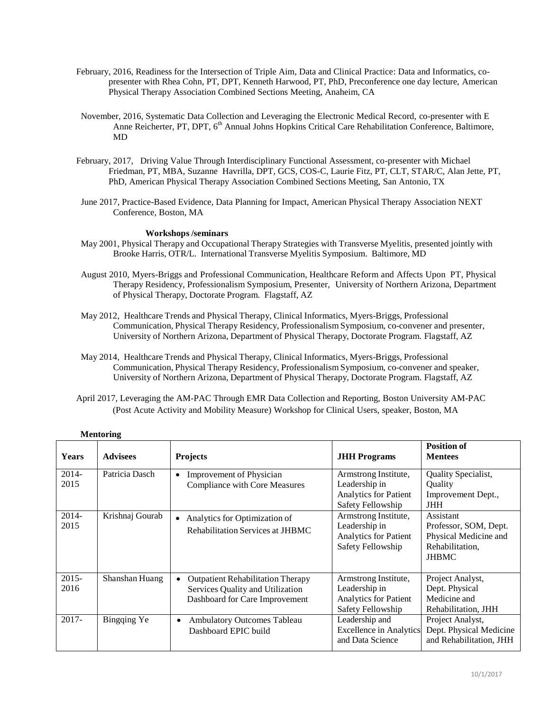- February, 2016, Readiness for the Intersection of Triple Aim, Data and Clinical Practice: Data and Informatics, copresenter with Rhea Cohn, PT, DPT, Kenneth Harwood, PT, PhD, Preconference one day lecture, American Physical Therapy Association Combined Sections Meeting, Anaheim, CA
- November, 2016, Systematic Data Collection and Leveraging the Electronic Medical Record, co-presenter with E Anne Reicherter, PT, DPT, 6<sup>th</sup> Annual Johns Hopkins Critical Care Rehabilitation Conference, Baltimore, MD
- February, 2017, Driving Value Through Interdisciplinary Functional Assessment, co-presenter with Michael Friedman, PT, MBA, Suzanne Havrilla, DPT, GCS, COS-C, Laurie Fitz, PT, CLT, STAR/C, Alan Jette, PT, PhD, American Physical Therapy Association Combined Sections Meeting, San Antonio, TX
- June 2017, Practice-Based Evidence, Data Planning for Impact, American Physical Therapy Association NEXT Conference, Boston, MA

## **Workshops /seminars**

- May 2001, Physical Therapy and Occupational Therapy Strategies with Transverse Myelitis, presented jointly with Brooke Harris, OTR/L. International Transverse Myelitis Symposium. Baltimore, MD
- August 2010, Myers-Briggs and Professional Communication, Healthcare Reform and Affects Upon PT, Physical Therapy Residency, Professionalism Symposium, Presenter, University of Northern Arizona, Department of Physical Therapy, Doctorate Program. Flagstaff, AZ
- May 2012, Healthcare Trends and Physical Therapy, Clinical Informatics, Myers-Briggs, Professional Communication, Physical Therapy Residency, Professionalism Symposium, co-convener and presenter, University of Northern Arizona, Department of Physical Therapy, Doctorate Program. Flagstaff, AZ
- May 2014, Healthcare Trends and Physical Therapy, Clinical Informatics, Myers-Briggs, Professional Communication, Physical Therapy Residency, Professionalism Symposium, co-convener and speaker, University of Northern Arizona, Department of Physical Therapy, Doctorate Program. Flagstaff, AZ
- April 2017, Leveraging the AM-PAC Through EMR Data Collection and Reporting, Boston University AM-PAC (Post Acute Activity and Mobility Measure) Workshop for Clinical Users, speaker, Boston, MA

| wwwww            |                 |                                                                                                                |                                                                                     |                                                                                                |  |  |  |
|------------------|-----------------|----------------------------------------------------------------------------------------------------------------|-------------------------------------------------------------------------------------|------------------------------------------------------------------------------------------------|--|--|--|
| Years            | <b>Advisees</b> | <b>Projects</b>                                                                                                | <b>JHH Programs</b>                                                                 | <b>Position of</b><br><b>Mentees</b>                                                           |  |  |  |
| 2014-<br>2015    | Patricia Dasch  | <b>Improvement of Physician</b><br><b>Compliance with Core Measures</b>                                        | Armstrong Institute,<br>Leadership in<br>Analytics for Patient<br>Safety Fellowship | Quality Specialist,<br>Quality<br>Improvement Dept.,<br><b>JHH</b>                             |  |  |  |
| $2014-$<br>2015  | Krishnaj Gourab | Analytics for Optimization of<br>Rehabilitation Services at JHBMC                                              | Armstrong Institute,<br>Leadership in<br>Analytics for Patient<br>Safety Fellowship | Assistant<br>Professor, SOM, Dept.<br>Physical Medicine and<br>Rehabilitation,<br><b>JHBMC</b> |  |  |  |
| $2015 -$<br>2016 | Shanshan Huang  | <b>Outpatient Rehabilitation Therapy</b><br>Services Quality and Utilization<br>Dashboard for Care Improvement | Armstrong Institute,<br>Leadership in<br>Analytics for Patient<br>Safety Fellowship | Project Analyst,<br>Dept. Physical<br>Medicine and<br>Rehabilitation, JHH                      |  |  |  |
| $2017 -$         | Bingqing Ye     | Ambulatory Outcomes Tableau<br>$\bullet$<br>Dashboard EPIC build                                               | Leadership and<br><b>Excellence in Analytics</b><br>and Data Science                | Project Analyst,<br>Dept. Physical Medicine<br>and Rehabilitation, JHH                         |  |  |  |

## **Mentoring**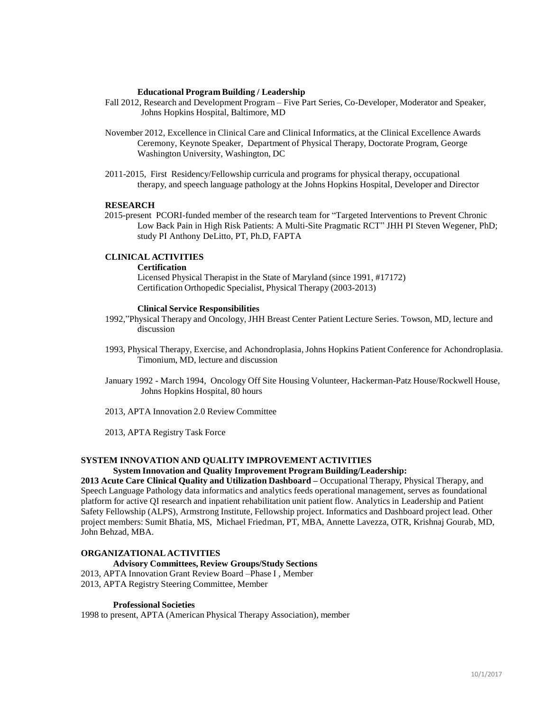#### **Educational Program Building / Leadership**

- Fall 2012, Research and Development Program Five Part Series, Co-Developer, Moderator and Speaker, Johns Hopkins Hospital, Baltimore, MD
- November 2012, Excellence in Clinical Care and Clinical Informatics, at the Clinical Excellence Awards Ceremony, Keynote Speaker, Department of Physical Therapy, Doctorate Program, George Washington University, Washington, DC
- 2011-2015, First Residency/Fellowship curricula and programs for physical therapy, occupational therapy, and speech language pathology at the Johns Hopkins Hospital, Developer and Director

#### **RESEARCH**

2015-present PCORI-funded member of the research team for "Targeted Interventions to Prevent Chronic Low Back Pain in High Risk Patients: A Multi-Site Pragmatic RCT" JHH PI Steven Wegener, PhD; study PI Anthony DeLitto, PT, Ph.D, FAPTA

# **CLINICAL ACTIVITIES**

#### **Certification**

Licensed Physical Therapist in the State of Maryland (since 1991, #17172) Certification Orthopedic Specialist, Physical Therapy (2003-2013)

#### **Clinical Service Responsibilities**

- 1992,"Physical Therapy and Oncology, JHH Breast Center Patient Lecture Series. Towson, MD, lecture and discussion
- 1993, Physical Therapy, Exercise, and Achondroplasia, Johns Hopkins Patient Conference for Achondroplasia. Timonium, MD, lecture and discussion
- January 1992 March 1994, Oncology Off Site Housing Volunteer, Hackerman-Patz House/Rockwell House, Johns Hopkins Hospital, 80 hours
- 2013, APTA Innovation 2.0 Review Committee

2013, APTA Registry Task Force

# **SYSTEM INNOVATION AND QUALITY IMPROVEMENT ACTIVITIES**

# **System Innovation and Quality Improvement Program Building/Leadership:**

**2013 Acute Care Clinical Quality and Utilization Dashboard –** Occupational Therapy, Physical Therapy, and Speech Language Pathology data informatics and analytics feeds operational management, serves as foundational platform for active QI research and inpatient rehabilitation unit patient flow. Analytics in Leadership and Patient Safety Fellowship (ALPS), Armstrong Institute, Fellowship project. Informatics and Dashboard project lead. Other project members: Sumit Bhatia, MS, Michael Friedman, PT, MBA, Annette Lavezza, OTR, Krishnaj Gourab, MD, John Behzad, MBA.

# **ORGANIZATIONAL ACTIVITIES**

#### **Advisory Committees, Review Groups/Study Sections**

2013, APTA Innovation Grant Review Board –Phase I , Member 2013, APTA Registry Steering Committee, Member

#### **Professional Societies**

1998 to present, APTA (American Physical Therapy Association), member